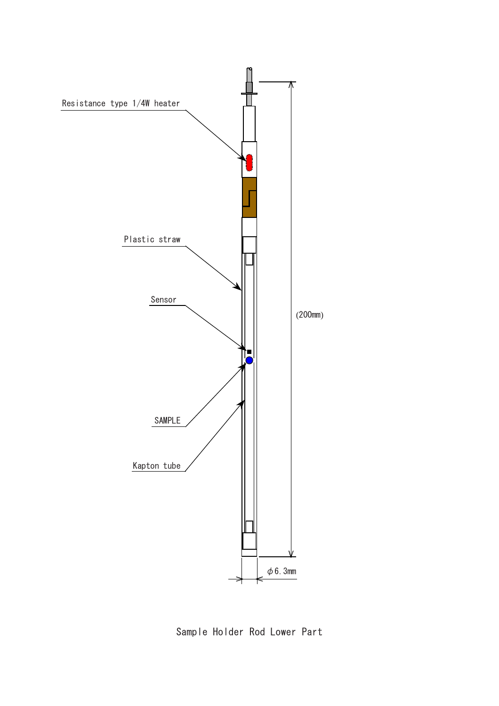

Sample Holder Rod Lower Part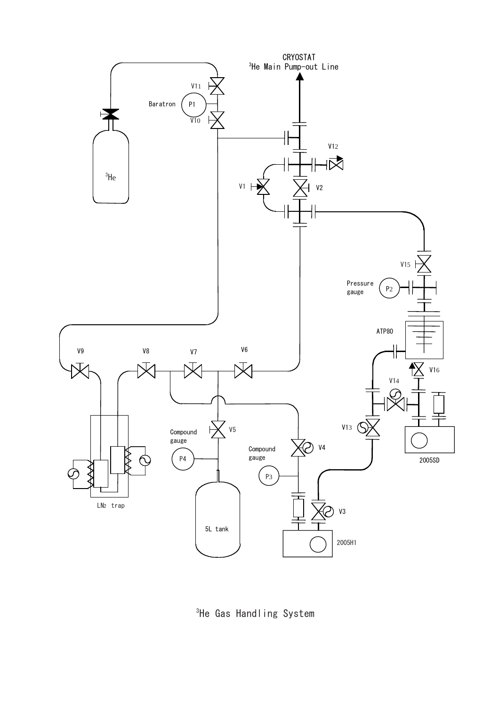

 $^3$ He Gas Handling System